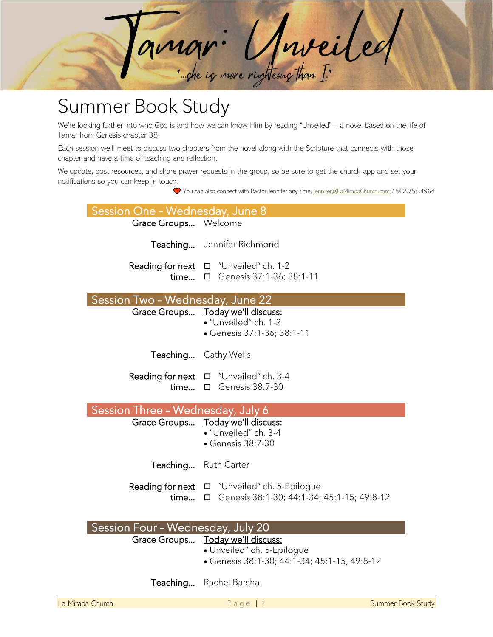

## Summer Book Study

We're looking further into who God is and how we can know Him by reading "Unveiled" – a novel based on the life of Tamar from Genesis chapter 38.

Each session we'll meet to discuss two chapters from the novel along with the Scripture that connects with those chapter and have a time of teaching and reflection.

We update, post resources, and share prayer requests in the group, so be sure to get the church app and set your notifications so you can keep in touch.

You can also connect with Pastor Jennifer any time[, jennifer@LaMiradaChurch.com](mailto:jennifer@LaMiradaChurch.com) / 562.755.4964

| Session One - Wednesday, June 8   |                                                                          |
|-----------------------------------|--------------------------------------------------------------------------|
| Grace Groups Welcome              |                                                                          |
|                                   | Teaching Jennifer Richmond                                               |
|                                   | Reading for next $\Box$ "Unveiled" ch. 1-2                               |
|                                   | time □ Genesis 37:1-36; 38:1-11                                          |
| Session Two - Wednesday, June 22  |                                                                          |
|                                   | Grace Groups Today we'll discuss:                                        |
|                                   | · "Unveiled" ch. 1-2<br>• Genesis 37:1-36; 38:1-11                       |
|                                   |                                                                          |
|                                   | Teaching Cathy Wells                                                     |
|                                   | Reading for next $\Box$ "Unveiled" ch. 3-4                               |
|                                   | time $\Box$ Genesis 38:7-30                                              |
|                                   |                                                                          |
|                                   |                                                                          |
| Session Three - Wednesday, July 6 |                                                                          |
|                                   | Grace Groups Today we'll discuss:<br>· "Unveiled" ch. 3-4                |
|                                   | • Genesis 38:7-30                                                        |
|                                   | Teaching Ruth Carter                                                     |
|                                   | <b>Reading for next</b> □ "Unveiled" ch. 5-Epilogue                      |
|                                   | time □ Genesis 38:1-30; 44:1-34; 45:1-15; 49:8-12                        |
|                                   |                                                                          |
| Session Four - Wednesday, July 20 |                                                                          |
|                                   | Grace Groups Today we'll discuss:                                        |
|                                   | · Unveiled" ch. 5-Epilogue<br>Genesis 38:1-30; 44:1-34; 45:1-15, 49:8-12 |
|                                   | Teaching Rachel Barsha                                                   |